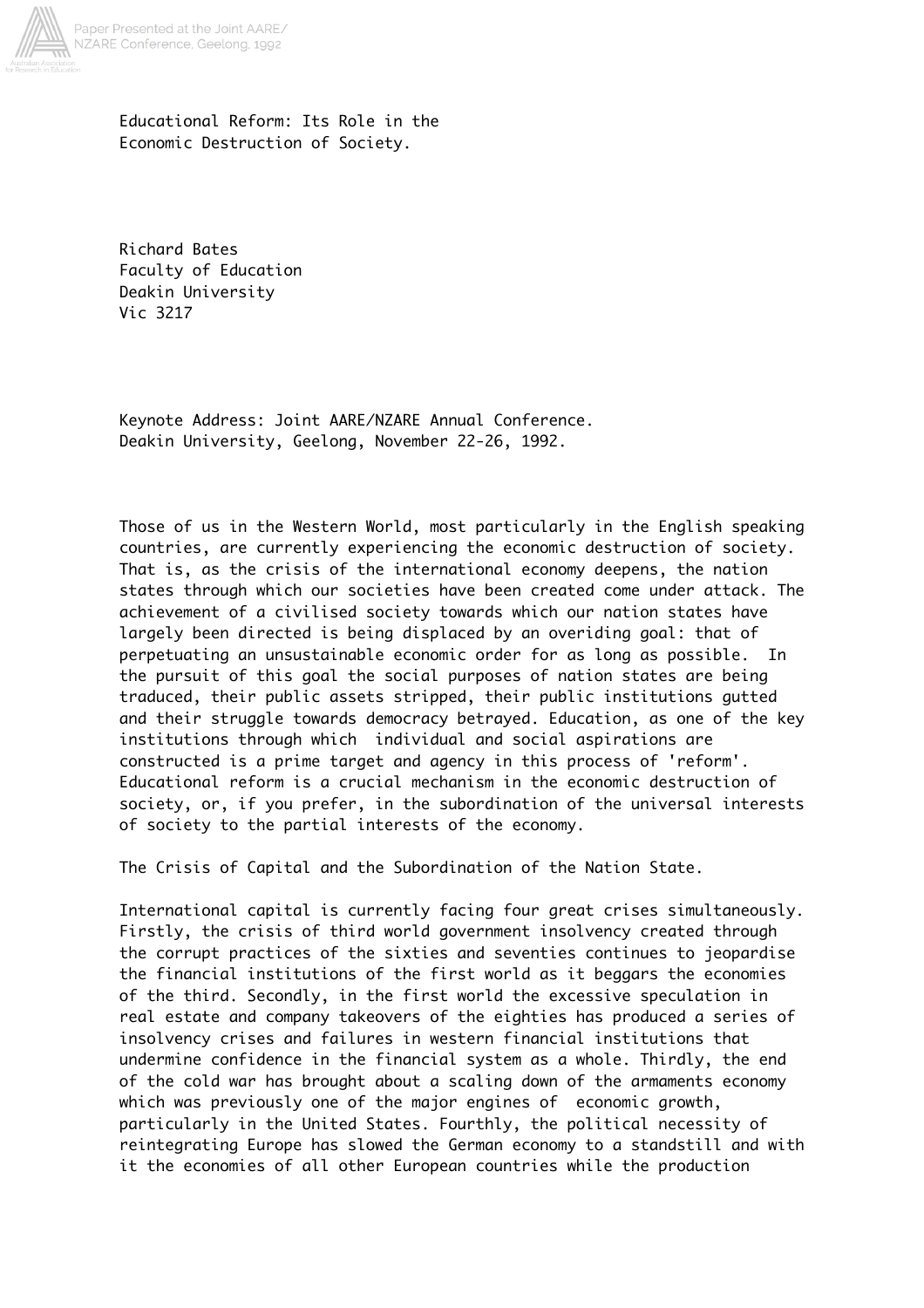

Educational Reform: Its Role in the Economic Destruction of Society.

Richard Bates Faculty of Education Deakin University Vic 3217

Keynote Address: Joint AARE/NZARE Annual Conference. Deakin University, Geelong, November 22-26, 1992.

Those of us in the Western World, most particularly in the English speaking countries, are currently experiencing the economic destruction of society. That is, as the crisis of the international economy deepens, the nation states through which our societies have been created come under attack. The achievement of a civilised society towards which our nation states have largely been directed is being displaced by an overiding goal: that of perpetuating an unsustainable economic order for as long as possible. In the pursuit of this goal the social purposes of nation states are being traduced, their public assets stripped, their public institutions gutted and their struggle towards democracy betrayed. Education, as one of the key institutions through which individual and social aspirations are constructed is a prime target and agency in this process of 'reform'. Educational reform is a crucial mechanism in the economic destruction of society, or, if you prefer, in the subordination of the universal interests of society to the partial interests of the economy.

The Crisis of Capital and the Subordination of the Nation State.

International capital is currently facing four great crises simultaneously. Firstly, the crisis of third world government insolvency created through the corrupt practices of the sixties and seventies continues to jeopardise the financial institutions of the first world as it beggars the economies of the third. Secondly, in the first world the excessive speculation in real estate and company takeovers of the eighties has produced a series of insolvency crises and failures in western financial institutions that undermine confidence in the financial system as a whole. Thirdly, the end of the cold war has brought about a scaling down of the armaments economy which was previously one of the major engines of economic growth, particularly in the United States. Fourthly, the political necessity of reintegrating Europe has slowed the German economy to a standstill and with it the economies of all other European countries while the production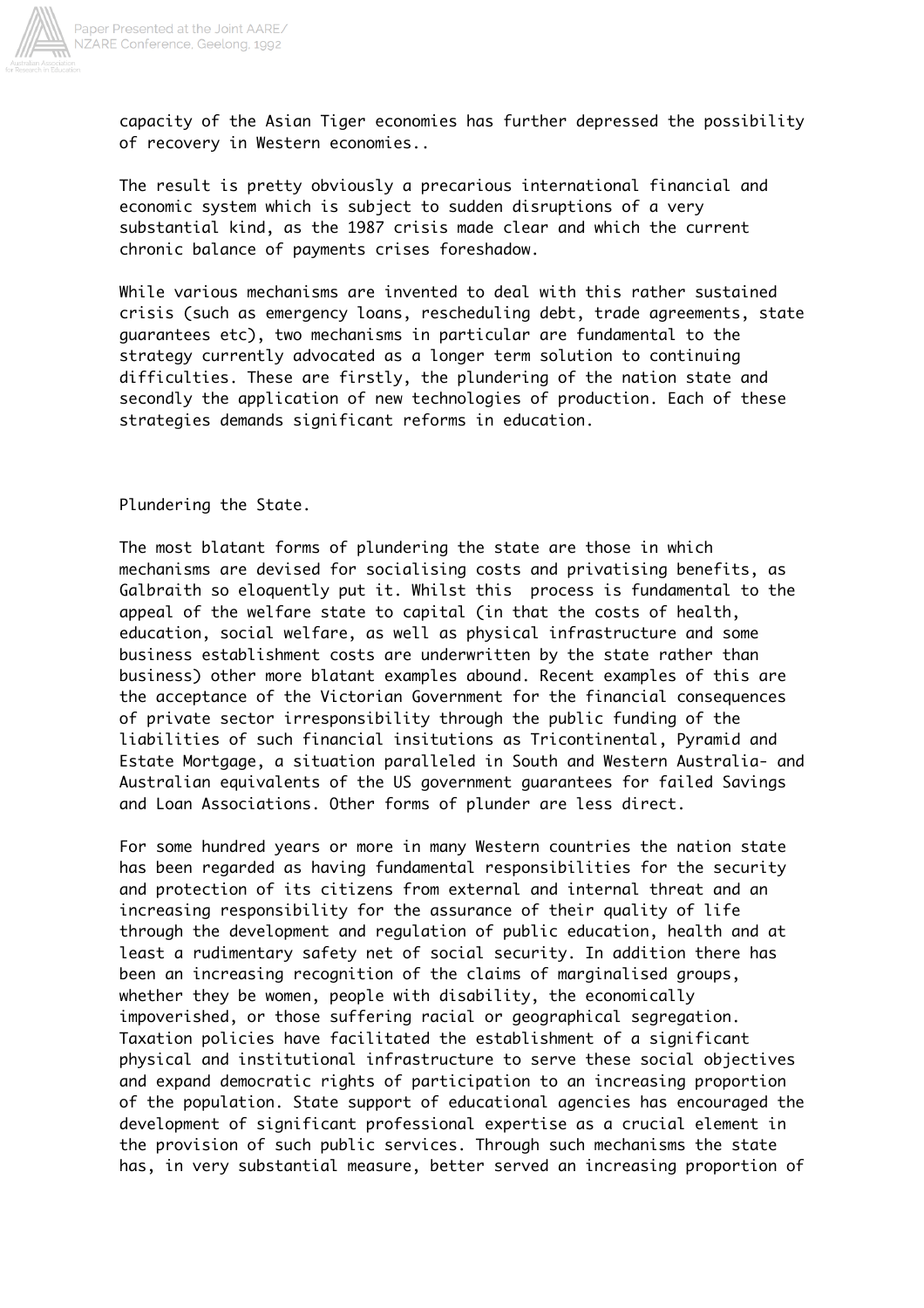

Paper Presented at the Joint AARE/<br>NZARE Conference, Geelong, 1992

capacity of the Asian Tiger economies has further depressed the possibility of recovery in Western economies..

The result is pretty obviously a precarious international financial and economic system which is subject to sudden disruptions of a very substantial kind, as the 1987 crisis made clear and which the current chronic balance of payments crises foreshadow.

While various mechanisms are invented to deal with this rather sustained crisis (such as emergency loans, rescheduling debt, trade agreements, state guarantees etc), two mechanisms in particular are fundamental to the strategy currently advocated as a longer term solution to continuing difficulties. These are firstly, the plundering of the nation state and secondly the application of new technologies of production. Each of these strategies demands significant reforms in education.

Plundering the State.

The most blatant forms of plundering the state are those in which mechanisms are devised for socialising costs and privatising benefits, as Galbraith so eloquently put it. Whilst this process is fundamental to the appeal of the welfare state to capital (in that the costs of health, education, social welfare, as well as physical infrastructure and some business establishment costs are underwritten by the state rather than business) other more blatant examples abound. Recent examples of this are the acceptance of the Victorian Government for the financial consequences of private sector irresponsibility through the public funding of the liabilities of such financial insitutions as Tricontinental, Pyramid and Estate Mortgage, a situation paralleled in South and Western Australia- and Australian equivalents of the US government guarantees for failed Savings and Loan Associations. Other forms of plunder are less direct.

For some hundred years or more in many Western countries the nation state has been regarded as having fundamental responsibilities for the security and protection of its citizens from external and internal threat and an increasing responsibility for the assurance of their quality of life through the development and regulation of public education, health and at least a rudimentary safety net of social security. In addition there has been an increasing recognition of the claims of marginalised groups, whether they be women, people with disability, the economically impoverished, or those suffering racial or geographical segregation. Taxation policies have facilitated the establishment of a significant physical and institutional infrastructure to serve these social objectives and expand democratic rights of participation to an increasing proportion of the population. State support of educational agencies has encouraged the development of significant professional expertise as a crucial element in the provision of such public services. Through such mechanisms the state has, in very substantial measure, better served an increasing proportion of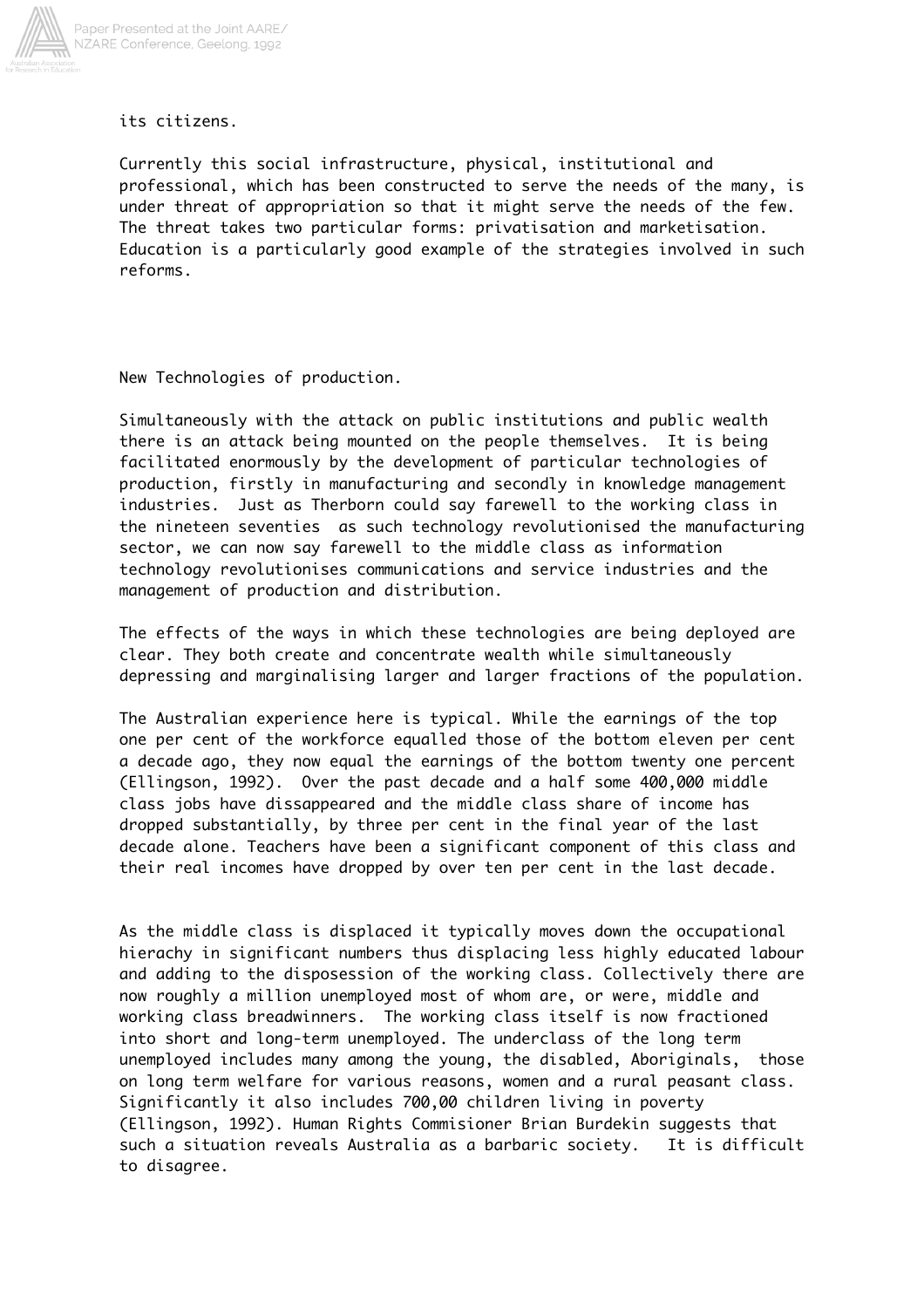

its citizens.

Currently this social infrastructure, physical, institutional and professional, which has been constructed to serve the needs of the many, is under threat of appropriation so that it might serve the needs of the few. The threat takes two particular forms: privatisation and marketisation. Education is a particularly good example of the strategies involved in such reforms.

New Technologies of production.

Simultaneously with the attack on public institutions and public wealth there is an attack being mounted on the people themselves. It is being facilitated enormously by the development of particular technologies of production, firstly in manufacturing and secondly in knowledge management industries. Just as Therborn could say farewell to the working class in the nineteen seventies as such technology revolutionised the manufacturing sector, we can now say farewell to the middle class as information technology revolutionises communications and service industries and the management of production and distribution.

The effects of the ways in which these technologies are being deployed are clear. They both create and concentrate wealth while simultaneously depressing and marginalising larger and larger fractions of the population.

The Australian experience here is typical. While the earnings of the top one per cent of the workforce equalled those of the bottom eleven per cent a decade ago, they now equal the earnings of the bottom twenty one percent (Ellingson, 1992). Over the past decade and a half some 400,000 middle class jobs have dissappeared and the middle class share of income has dropped substantially, by three per cent in the final year of the last decade alone. Teachers have been a significant component of this class and their real incomes have dropped by over ten per cent in the last decade.

As the middle class is displaced it typically moves down the occupational hierachy in significant numbers thus displacing less highly educated labour and adding to the disposession of the working class. Collectively there are now roughly a million unemployed most of whom are, or were, middle and working class breadwinners. The working class itself is now fractioned into short and long-term unemployed. The underclass of the long term unemployed includes many among the young, the disabled, Aboriginals, those on long term welfare for various reasons, women and a rural peasant class. Significantly it also includes 700,00 children living in poverty (Ellingson, 1992). Human Rights Commisioner Brian Burdekin suggests that such a situation reveals Australia as a barbaric society. It is difficult to disagree.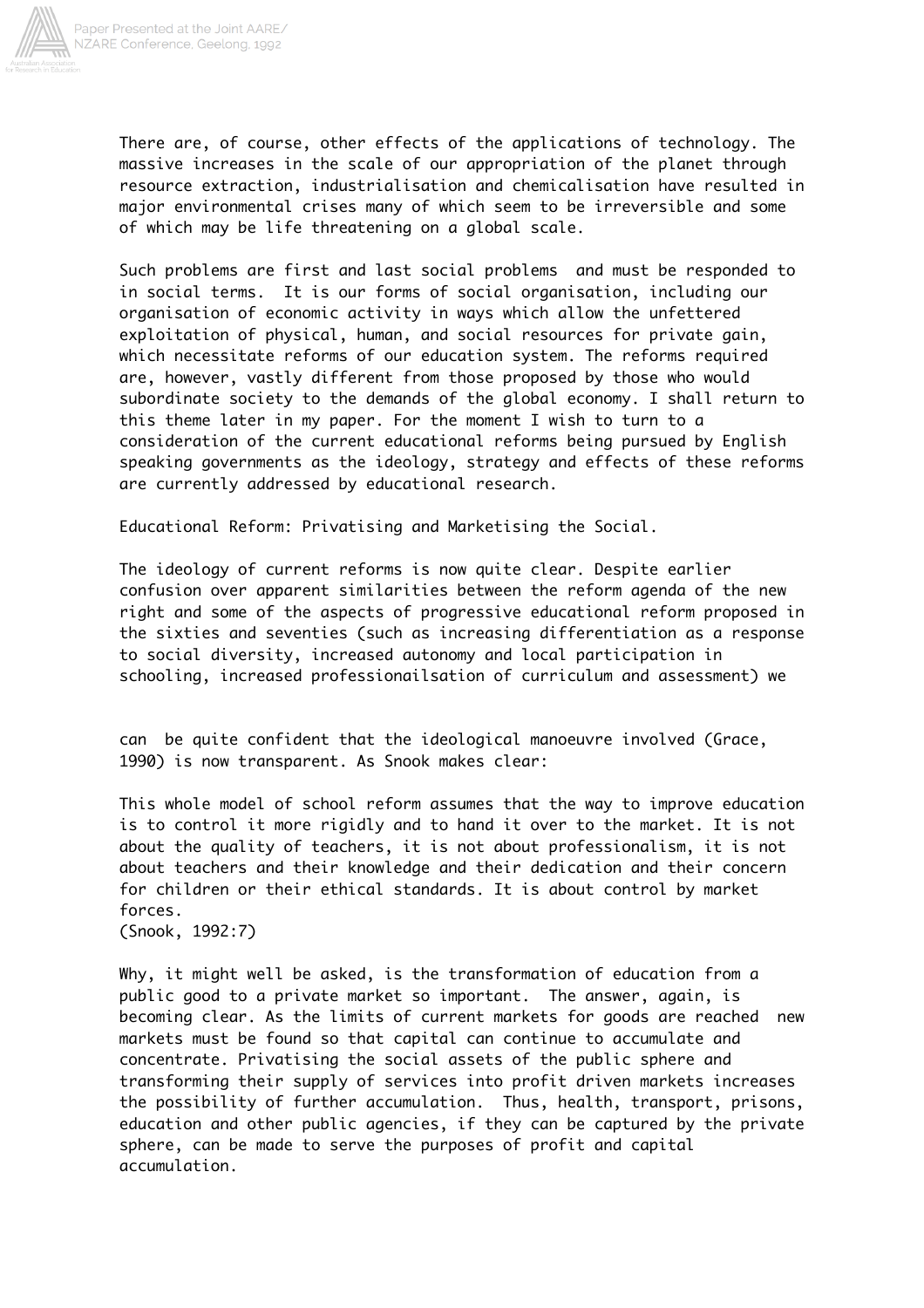

There are, of course, other effects of the applications of technology. The massive increases in the scale of our appropriation of the planet through resource extraction, industrialisation and chemicalisation have resulted in major environmental crises many of which seem to be irreversible and some of which may be life threatening on a global scale.

Such problems are first and last social problems and must be responded to in social terms. It is our forms of social organisation, including our organisation of economic activity in ways which allow the unfettered exploitation of physical, human, and social resources for private gain, which necessitate reforms of our education system. The reforms required are, however, vastly different from those proposed by those who would subordinate society to the demands of the global economy. I shall return to this theme later in my paper. For the moment I wish to turn to a consideration of the current educational reforms being pursued by English speaking governments as the ideology, strategy and effects of these reforms are currently addressed by educational research.

Educational Reform: Privatising and Marketising the Social.

The ideology of current reforms is now quite clear. Despite earlier confusion over apparent similarities between the reform agenda of the new right and some of the aspects of progressive educational reform proposed in the sixties and seventies (such as increasing differentiation as a response to social diversity, increased autonomy and local participation in schooling, increased professionailsation of curriculum and assessment) we

can be quite confident that the ideological manoeuvre involved (Grace, 1990) is now transparent. As Snook makes clear:

This whole model of school reform assumes that the way to improve education is to control it more rigidly and to hand it over to the market. It is not about the quality of teachers, it is not about professionalism, it is not about teachers and their knowledge and their dedication and their concern for children or their ethical standards. It is about control by market forces.

(Snook, 1992:7)

Why, it might well be asked, is the transformation of education from a public good to a private market so important. The answer, again, is becoming clear. As the limits of current markets for goods are reached new markets must be found so that capital can continue to accumulate and concentrate. Privatising the social assets of the public sphere and transforming their supply of services into profit driven markets increases the possibility of further accumulation. Thus, health, transport, prisons, education and other public agencies, if they can be captured by the private sphere, can be made to serve the purposes of profit and capital accumulation.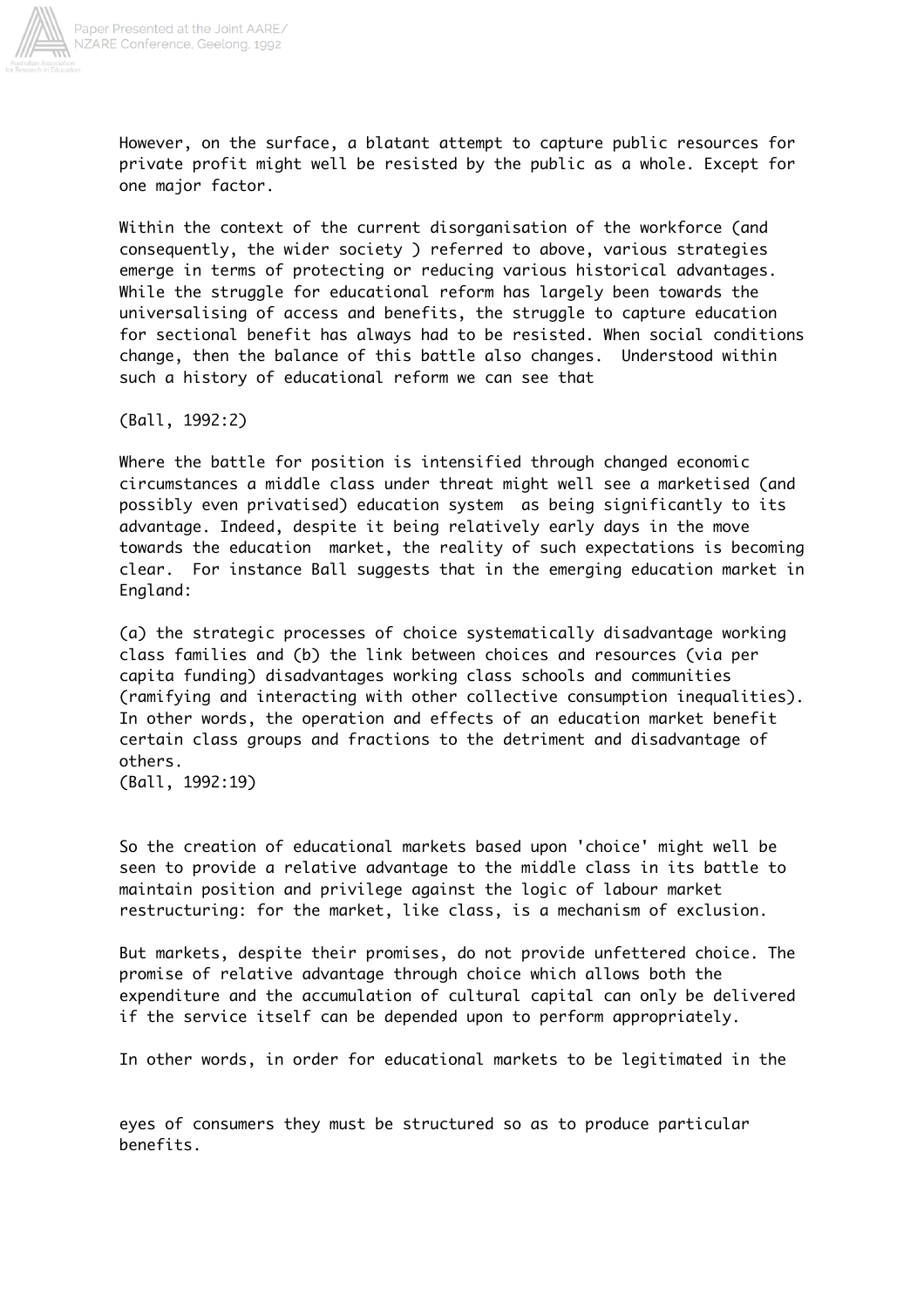

However, on the surface, a blatant attempt to capture public resources for private profit might well be resisted by the public as a whole. Except for one major factor.

Within the context of the current disorganisation of the workforce (and consequently, the wider society ) referred to above, various strategies emerge in terms of protecting or reducing various historical advantages. While the struggle for educational reform has largely been towards the universalising of access and benefits, the struggle to capture education for sectional benefit has always had to be resisted. When social conditions change, then the balance of this battle also changes. Understood within such a history of educational reform we can see that

(Ball, 1992:2)

Where the battle for position is intensified through changed economic circumstances a middle class under threat might well see a marketised (and possibly even privatised) education system as being significantly to its advantage. Indeed, despite it being relatively early days in the move towards the education market, the reality of such expectations is becoming clear. For instance Ball suggests that in the emerging education market in England:

(a) the strategic processes of choice systematically disadvantage working class families and (b) the link between choices and resources (via per capita funding) disadvantages working class schools and communities (ramifying and interacting with other collective consumption inequalities). In other words, the operation and effects of an education market benefit certain class groups and fractions to the detriment and disadvantage of others.

(Ball, 1992:19)

So the creation of educational markets based upon 'choice' might well be seen to provide a relative advantage to the middle class in its battle to maintain position and privilege against the logic of labour market restructuring: for the market, like class, is a mechanism of exclusion.

But markets, despite their promises, do not provide unfettered choice. The promise of relative advantage through choice which allows both the expenditure and the accumulation of cultural capital can only be delivered if the service itself can be depended upon to perform appropriately.

In other words, in order for educational markets to be legitimated in the

eyes of consumers they must be structured so as to produce particular benefits.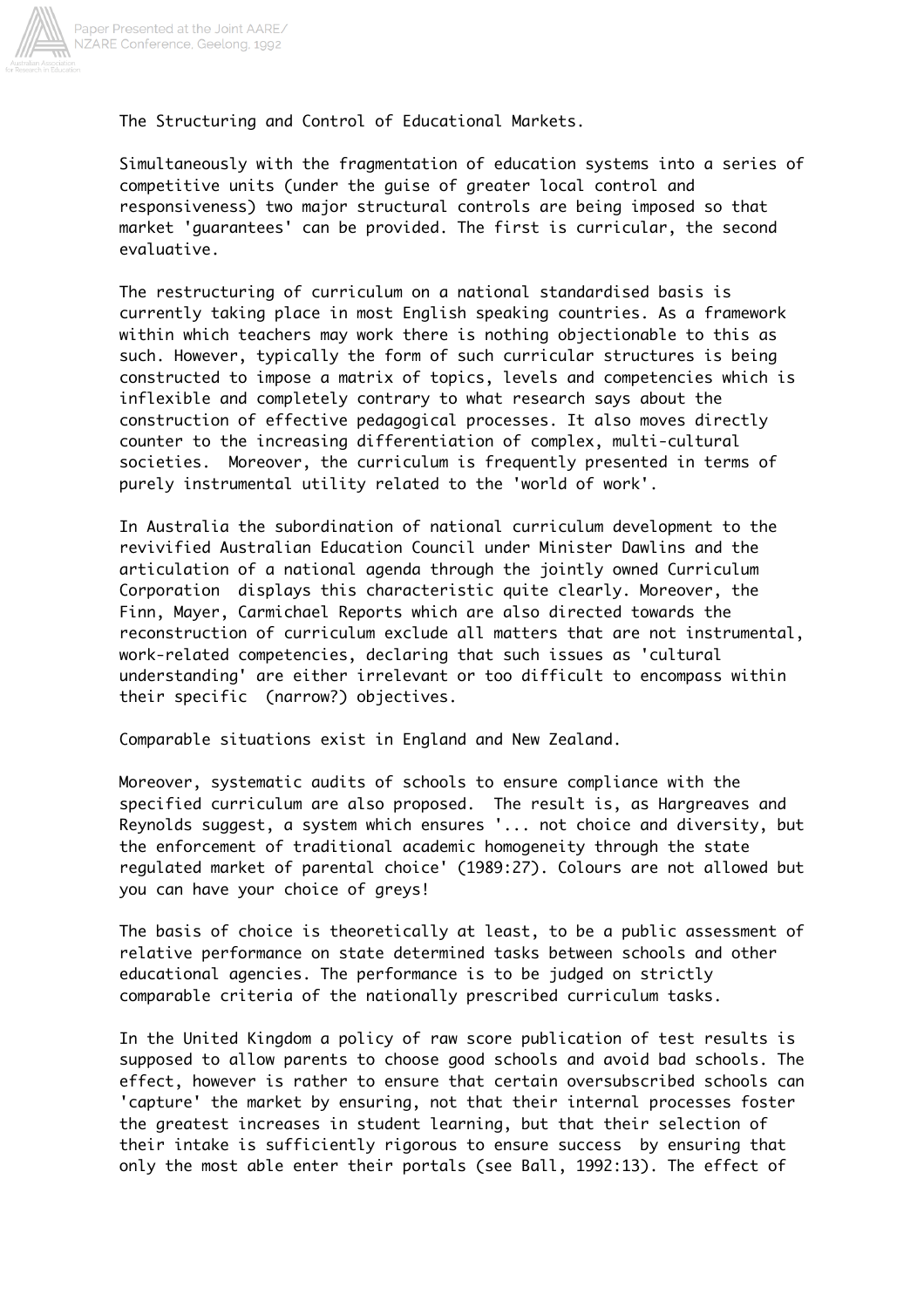

The Structuring and Control of Educational Markets.

Simultaneously with the fragmentation of education systems into a series of competitive units (under the guise of greater local control and responsiveness) two major structural controls are being imposed so that market 'guarantees' can be provided. The first is curricular, the second evaluative.

The restructuring of curriculum on a national standardised basis is currently taking place in most English speaking countries. As a framework within which teachers may work there is nothing objectionable to this as such. However, typically the form of such curricular structures is being constructed to impose a matrix of topics, levels and competencies which is inflexible and completely contrary to what research says about the construction of effective pedagogical processes. It also moves directly counter to the increasing differentiation of complex, multi-cultural societies. Moreover, the curriculum is frequently presented in terms of purely instrumental utility related to the 'world of work'.

In Australia the subordination of national curriculum development to the revivified Australian Education Council under Minister Dawlins and the articulation of a national agenda through the jointly owned Curriculum Corporation displays this characteristic quite clearly. Moreover, the Finn, Mayer, Carmichael Reports which are also directed towards the reconstruction of curriculum exclude all matters that are not instrumental, work-related competencies, declaring that such issues as 'cultural understanding' are either irrelevant or too difficult to encompass within their specific (narrow?) objectives.

Comparable situations exist in England and New Zealand.

Moreover, systematic audits of schools to ensure compliance with the specified curriculum are also proposed. The result is, as Hargreaves and Reynolds suggest, a system which ensures '... not choice and diversity, but the enforcement of traditional academic homogeneity through the state regulated market of parental choice' (1989:27). Colours are not allowed but you can have your choice of greys!

The basis of choice is theoretically at least, to be a public assessment of relative performance on state determined tasks between schools and other educational agencies. The performance is to be judged on strictly comparable criteria of the nationally prescribed curriculum tasks.

In the United Kingdom a policy of raw score publication of test results is supposed to allow parents to choose good schools and avoid bad schools. The effect, however is rather to ensure that certain oversubscribed schools can 'capture' the market by ensuring, not that their internal processes foster the greatest increases in student learning, but that their selection of their intake is sufficiently rigorous to ensure success by ensuring that only the most able enter their portals (see Ball, 1992:13). The effect of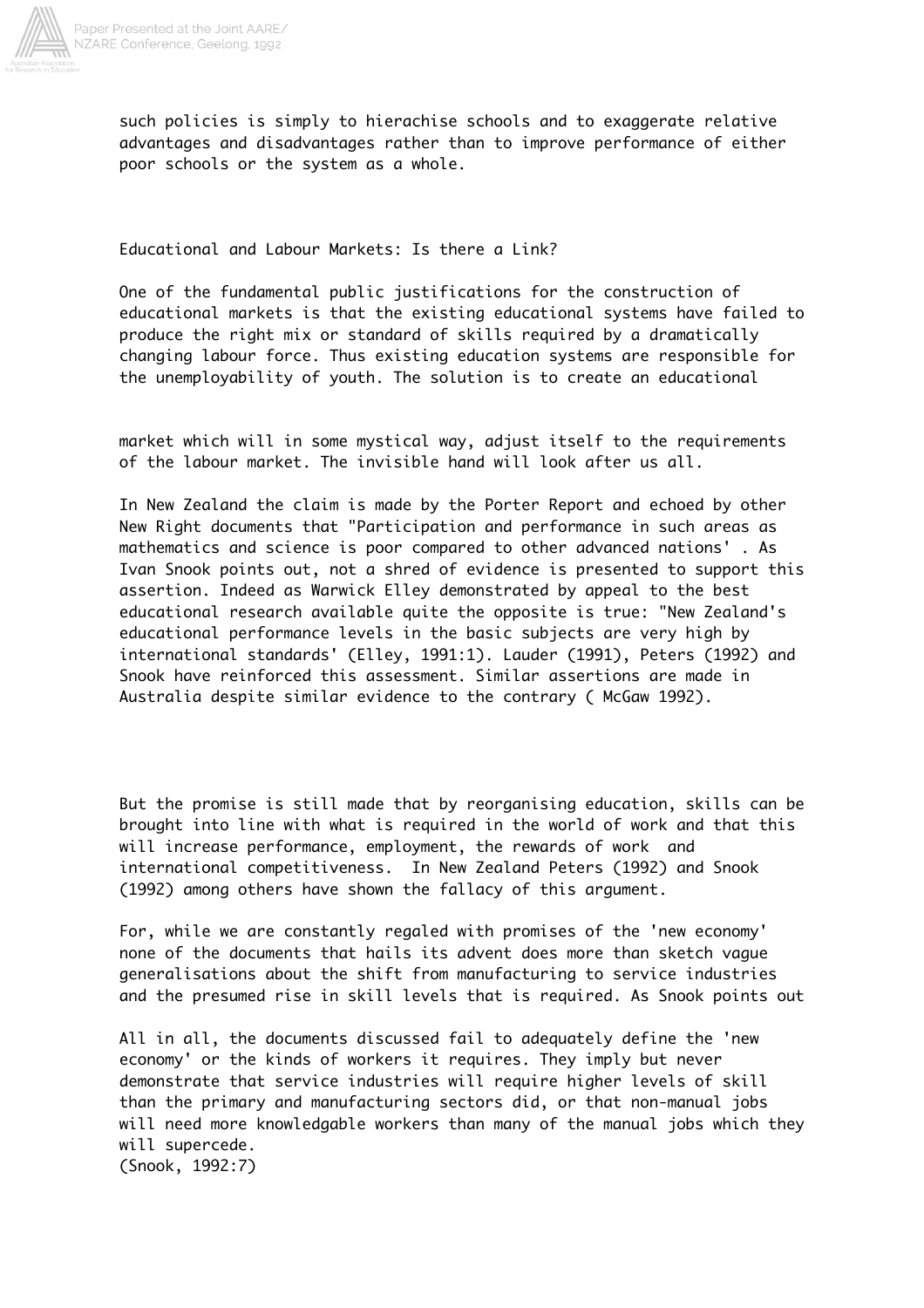

such policies is simply to hierachise schools and to exaggerate relative advantages and disadvantages rather than to improve performance of either poor schools or the system as a whole.

Educational and Labour Markets: Is there a Link?

One of the fundamental public justifications for the construction of educational markets is that the existing educational systems have failed to produce the right mix or standard of skills required by a dramatically changing labour force. Thus existing education systems are responsible for the unemployability of youth. The solution is to create an educational

market which will in some mystical way, adjust itself to the requirements of the labour market. The invisible hand will look after us all.

In New Zealand the claim is made by the Porter Report and echoed by other New Right documents that "Participation and performance in such areas as mathematics and science is poor compared to other advanced nations' . As Ivan Snook points out, not a shred of evidence is presented to support this assertion. Indeed as Warwick Elley demonstrated by appeal to the best educational research available quite the opposite is true: "New Zealand's educational performance levels in the basic subjects are very high by international standards' (Elley, 1991:1). Lauder (1991), Peters (1992) and Snook have reinforced this assessment. Similar assertions are made in Australia despite similar evidence to the contrary ( McGaw 1992).

But the promise is still made that by reorganising education, skills can be brought into line with what is required in the world of work and that this will increase performance, employment, the rewards of work and international competitiveness. In New Zealand Peters (1992) and Snook (1992) among others have shown the fallacy of this argument.

For, while we are constantly regaled with promises of the 'new economy' none of the documents that hails its advent does more than sketch vague generalisations about the shift from manufacturing to service industries and the presumed rise in skill levels that is required. As Snook points out

All in all, the documents discussed fail to adequately define the 'new economy' or the kinds of workers it requires. They imply but never demonstrate that service industries will require higher levels of skill than the primary and manufacturing sectors did, or that non-manual jobs will need more knowledgable workers than many of the manual jobs which they will supercede. (Snook, 1992:7)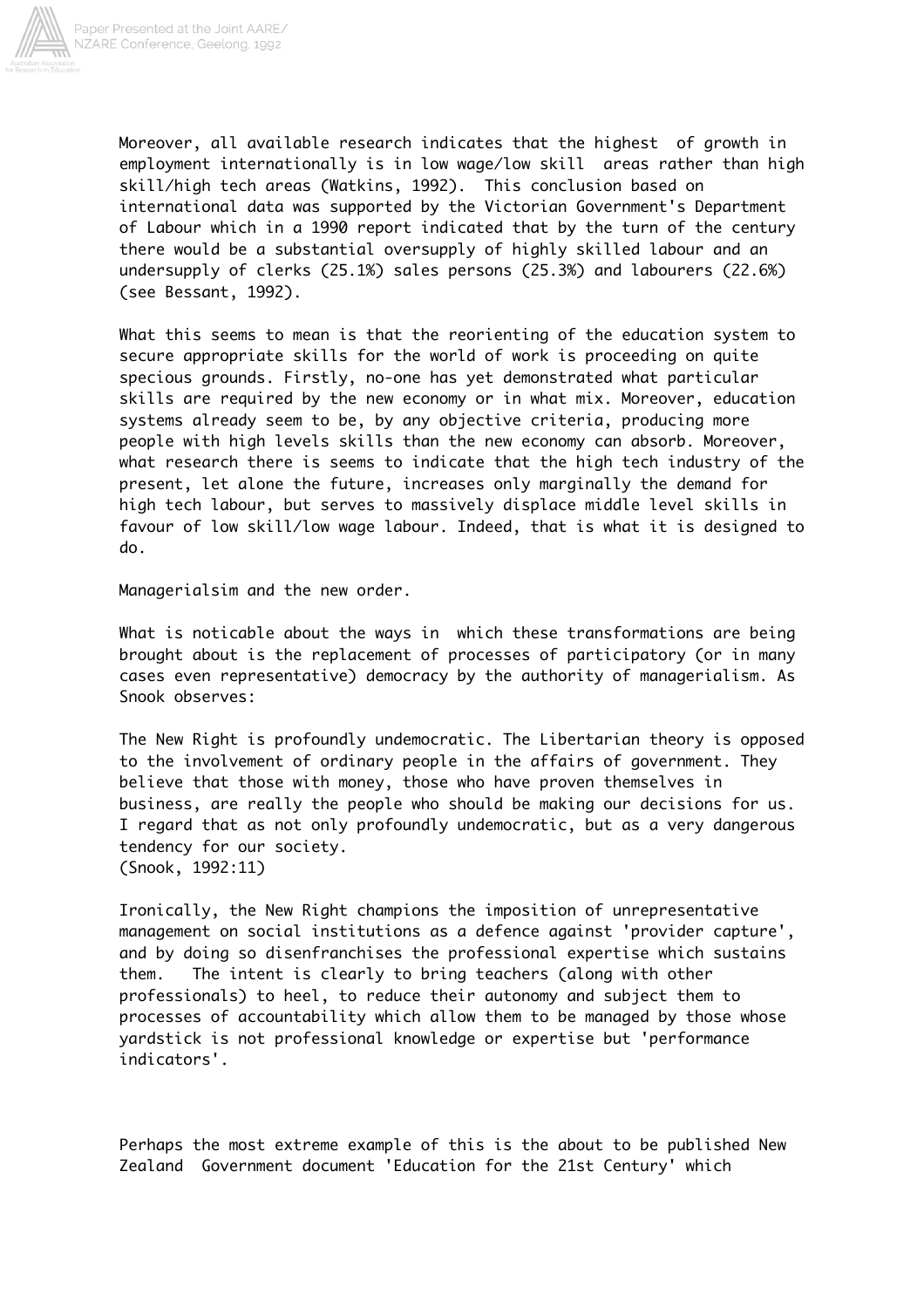

Moreover, all available research indicates that the highest of growth in employment internationally is in low wage/low skill areas rather than high skill/high tech areas (Watkins, 1992). This conclusion based on international data was supported by the Victorian Government's Department of Labour which in a 1990 report indicated that by the turn of the century there would be a substantial oversupply of highly skilled labour and an undersupply of clerks (25.1%) sales persons (25.3%) and labourers (22.6%) (see Bessant, 1992).

What this seems to mean is that the reorienting of the education system to secure appropriate skills for the world of work is proceeding on quite specious grounds. Firstly, no-one has yet demonstrated what particular skills are required by the new economy or in what mix. Moreover, education systems already seem to be, by any objective criteria, producing more people with high levels skills than the new economy can absorb. Moreover, what research there is seems to indicate that the high tech industry of the present, let alone the future, increases only marginally the demand for high tech labour, but serves to massively displace middle level skills in favour of low skill/low wage labour. Indeed, that is what it is designed to do.

Managerialsim and the new order.

What is noticable about the ways in which these transformations are being brought about is the replacement of processes of participatory (or in many cases even representative) democracy by the authority of managerialism. As Snook observes:

The New Right is profoundly undemocratic. The Libertarian theory is opposed to the involvement of ordinary people in the affairs of government. They believe that those with money, those who have proven themselves in business, are really the people who should be making our decisions for us. I regard that as not only profoundly undemocratic, but as a very dangerous tendency for our society. (Snook, 1992:11)

Ironically, the New Right champions the imposition of unrepresentative management on social institutions as a defence against 'provider capture', and by doing so disenfranchises the professional expertise which sustains them. The intent is clearly to bring teachers (along with other professionals) to heel, to reduce their autonomy and subject them to processes of accountability which allow them to be managed by those whose yardstick is not professional knowledge or expertise but 'performance indicators'.

Perhaps the most extreme example of this is the about to be published New Zealand Government document 'Education for the 21st Century' which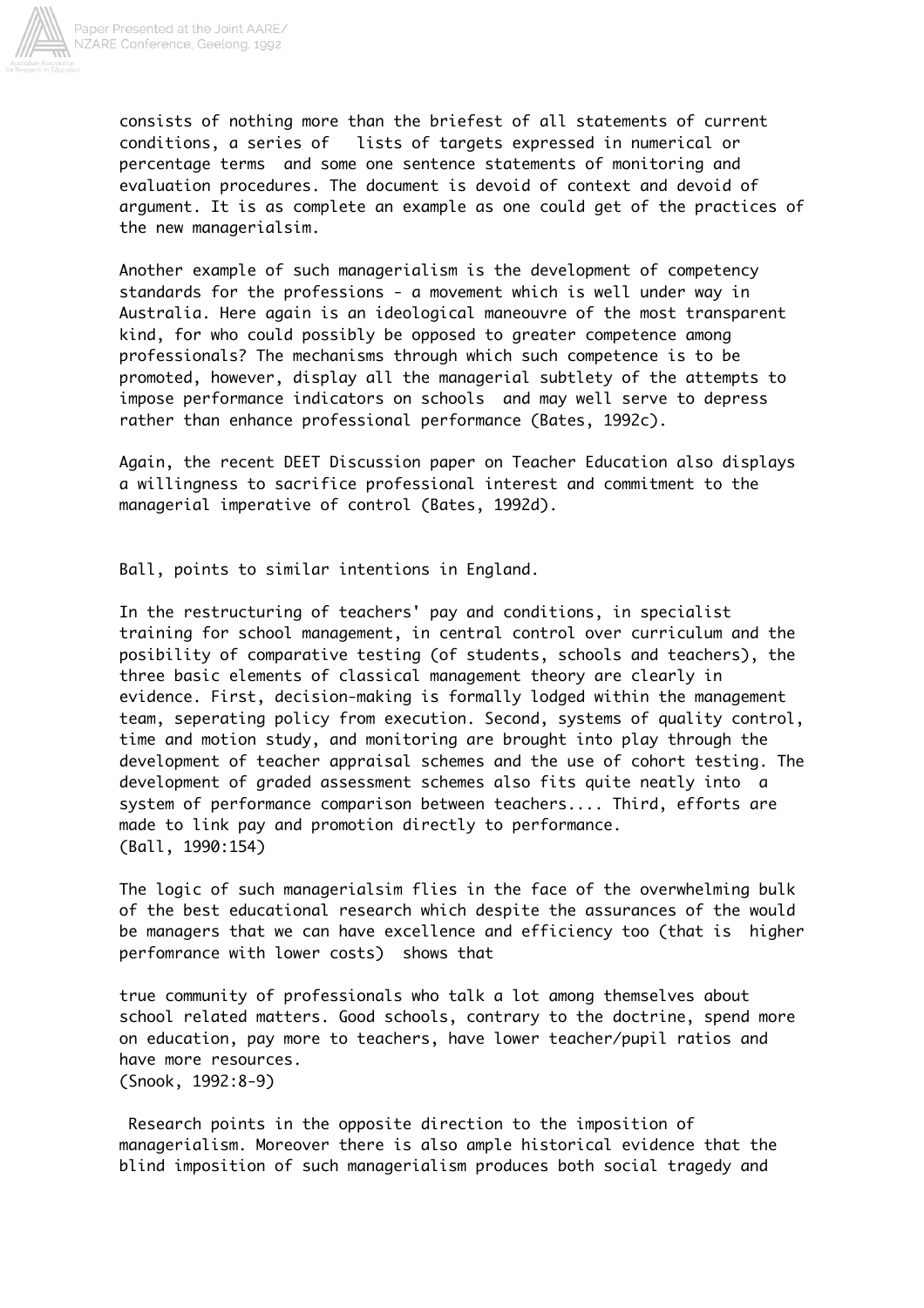

consists of nothing more than the briefest of all statements of current conditions, a series of lists of targets expressed in numerical or percentage terms and some one sentence statements of monitoring and evaluation procedures. The document is devoid of context and devoid of argument. It is as complete an example as one could get of the practices of the new managerialsim.

Another example of such managerialism is the development of competency standards for the professions - a movement which is well under way in Australia. Here again is an ideological maneouvre of the most transparent kind, for who could possibly be opposed to greater competence among professionals? The mechanisms through which such competence is to be promoted, however, display all the managerial subtlety of the attempts to impose performance indicators on schools and may well serve to depress rather than enhance professional performance (Bates, 1992c).

Again, the recent DEET Discussion paper on Teacher Education also displays a willingness to sacrifice professional interest and commitment to the managerial imperative of control (Bates, 1992d).

Ball, points to similar intentions in England.

In the restructuring of teachers' pay and conditions, in specialist training for school management, in central control over curriculum and the posibility of comparative testing (of students, schools and teachers), the three basic elements of classical management theory are clearly in evidence. First, decision-making is formally lodged within the management team, seperating policy from execution. Second, systems of quality control, time and motion study, and monitoring are brought into play through the development of teacher appraisal schemes and the use of cohort testing. The development of graded assessment schemes also fits quite neatly into a system of performance comparison between teachers.... Third, efforts are made to link pay and promotion directly to performance. (Ball, 1990:154)

The logic of such managerialsim flies in the face of the overwhelming bulk of the best educational research which despite the assurances of the would be managers that we can have excellence and efficiency too (that is higher perfomrance with lower costs) shows that

true community of professionals who talk a lot among themselves about school related matters. Good schools, contrary to the doctrine, spend more on education, pay more to teachers, have lower teacher/pupil ratios and have more resources. (Snook, 1992:8-9)

 Research points in the opposite direction to the imposition of managerialism. Moreover there is also ample historical evidence that the blind imposition of such managerialism produces both social tragedy and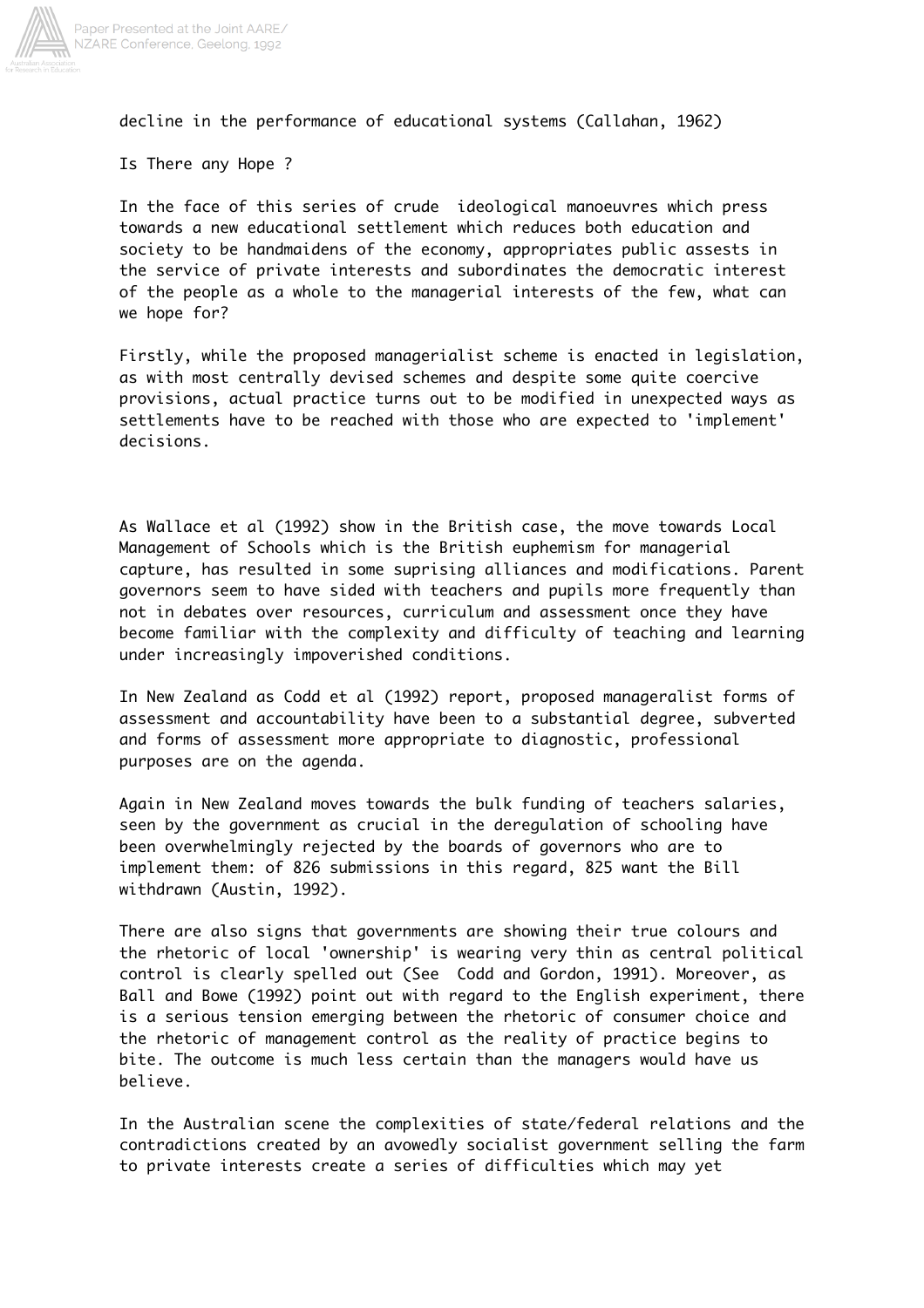

decline in the performance of educational systems (Callahan, 1962)

Is There any Hope ?

In the face of this series of crude ideological manoeuvres which press towards a new educational settlement which reduces both education and society to be handmaidens of the economy, appropriates public assests in the service of private interests and subordinates the democratic interest of the people as a whole to the managerial interests of the few, what can we hope for?

Firstly, while the proposed managerialist scheme is enacted in legislation, as with most centrally devised schemes and despite some quite coercive provisions, actual practice turns out to be modified in unexpected ways as settlements have to be reached with those who are expected to 'implement' decisions.

As Wallace et al (1992) show in the British case, the move towards Local Management of Schools which is the British euphemism for managerial capture, has resulted in some suprising alliances and modifications. Parent governors seem to have sided with teachers and pupils more frequently than not in debates over resources, curriculum and assessment once they have become familiar with the complexity and difficulty of teaching and learning under increasingly impoverished conditions.

In New Zealand as Codd et al (1992) report, proposed manageralist forms of assessment and accountability have been to a substantial degree, subverted and forms of assessment more appropriate to diagnostic, professional purposes are on the agenda.

Again in New Zealand moves towards the bulk funding of teachers salaries, seen by the government as crucial in the deregulation of schooling have been overwhelmingly rejected by the boards of governors who are to implement them: of 826 submissions in this regard, 825 want the Bill withdrawn (Austin, 1992).

There are also signs that governments are showing their true colours and the rhetoric of local 'ownership' is wearing very thin as central political control is clearly spelled out (See Codd and Gordon, 1991). Moreover, as Ball and Bowe (1992) point out with regard to the English experiment, there is a serious tension emerging between the rhetoric of consumer choice and the rhetoric of management control as the reality of practice begins to bite. The outcome is much less certain than the managers would have us believe.

In the Australian scene the complexities of state/federal relations and the contradictions created by an avowedly socialist government selling the farm to private interests create a series of difficulties which may yet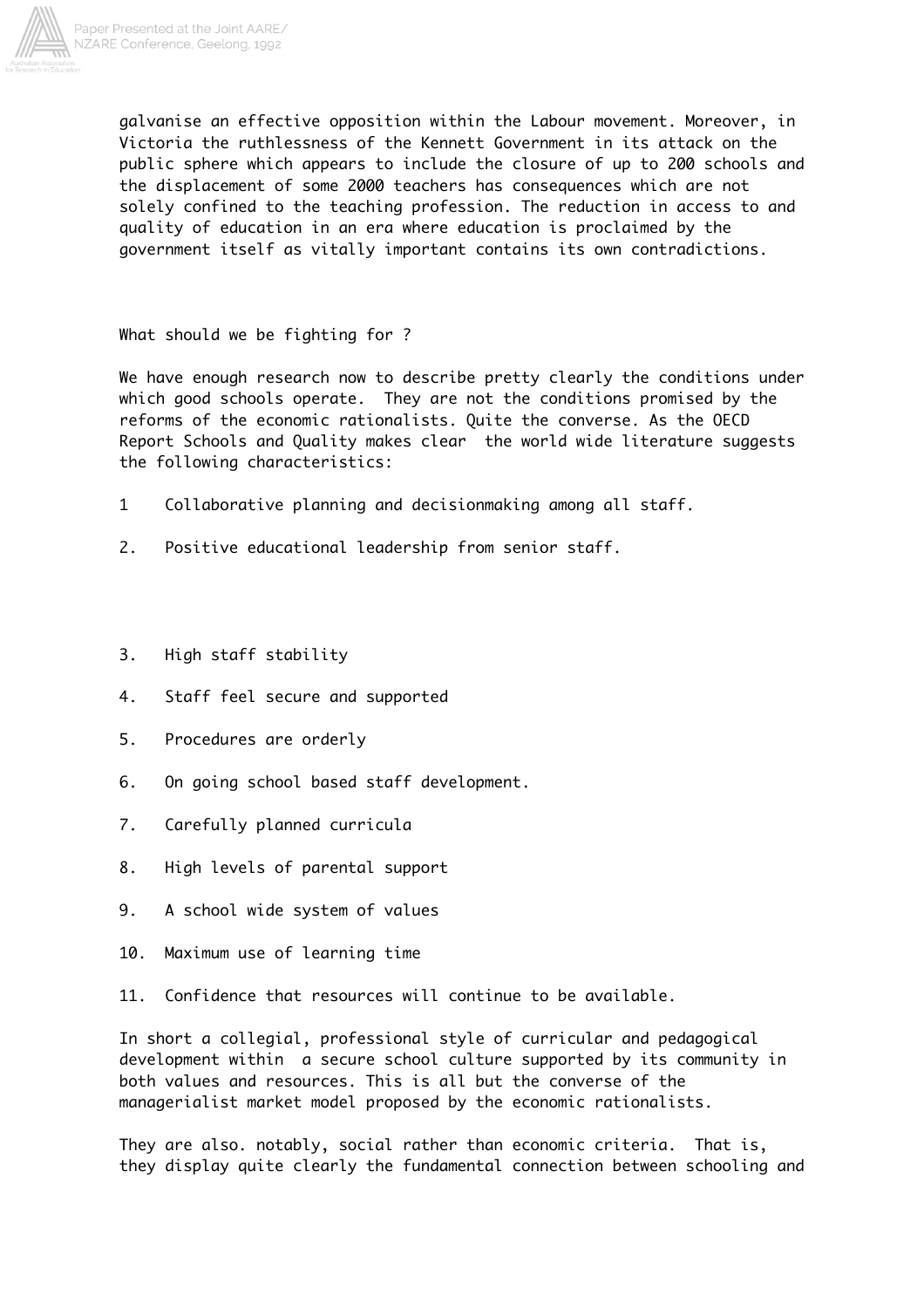

galvanise an effective opposition within the Labour movement. Moreover, in Victoria the ruthlessness of the Kennett Government in its attack on the public sphere which appears to include the closure of up to 200 schools and the displacement of some 2000 teachers has consequences which are not solely confined to the teaching profession. The reduction in access to and quality of education in an era where education is proclaimed by the government itself as vitally important contains its own contradictions.

What should we be fighting for ?

We have enough research now to describe pretty clearly the conditions under which good schools operate. They are not the conditions promised by the reforms of the economic rationalists. Quite the converse. As the OECD Report Schools and Quality makes clear the world wide literature suggests the following characteristics:

- 1 Collaborative planning and decisionmaking among all staff.
- 2. Positive educational leadership from senior staff.
- 3. High staff stability
- 4. Staff feel secure and supported
- 5. Procedures are orderly
- 6. On going school based staff development.
- 7. Carefully planned curricula
- 8. High levels of parental support
- 9. A school wide system of values
- 10. Maximum use of learning time
- 11. Confidence that resources will continue to be available.

In short a collegial, professional style of curricular and pedagogical development within a secure school culture supported by its community in both values and resources. This is all but the converse of the managerialist market model proposed by the economic rationalists.

They are also. notably, social rather than economic criteria. That is, they display quite clearly the fundamental connection between schooling and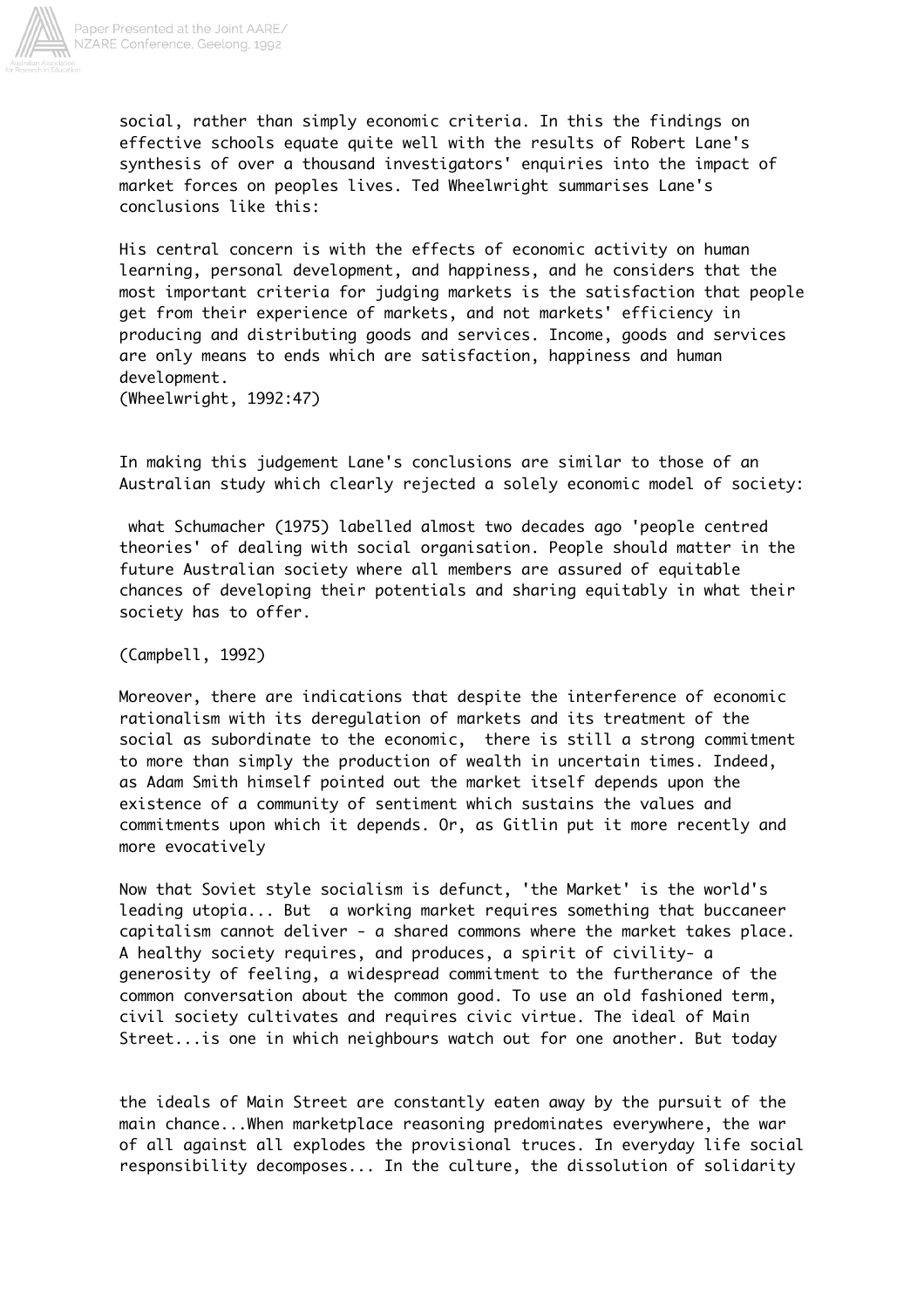

social, rather than simply economic criteria. In this the findings on effective schools equate quite well with the results of Robert Lane's synthesis of over a thousand investigators' enquiries into the impact of market forces on peoples lives. Ted Wheelwright summarises Lane's conclusions like this:

His central concern is with the effects of economic activity on human learning, personal development, and happiness, and he considers that the most important criteria for judging markets is the satisfaction that people get from their experience of markets, and not markets' efficiency in producing and distributing goods and services. Income, goods and services are only means to ends which are satisfaction, happiness and human development. (Wheelwright, 1992:47)

In making this judgement Lane's conclusions are similar to those of an Australian study which clearly rejected a solely economic model of society:

 what Schumacher (1975) labelled almost two decades ago 'people centred theories' of dealing with social organisation. People should matter in the future Australian society where all members are assured of equitable chances of developing their potentials and sharing equitably in what their society has to offer.

(Campbell, 1992)

Moreover, there are indications that despite the interference of economic rationalism with its deregulation of markets and its treatment of the social as subordinate to the economic, there is still a strong commitment to more than simply the production of wealth in uncertain times. Indeed, as Adam Smith himself pointed out the market itself depends upon the existence of a community of sentiment which sustains the values and commitments upon which it depends. Or, as Gitlin put it more recently and more evocatively

Now that Soviet style socialism is defunct, 'the Market' is the world's leading utopia... But a working market requires something that buccaneer capitalism cannot deliver - a shared commons where the market takes place. A healthy society requires, and produces, a spirit of civility- a generosity of feeling, a widespread commitment to the furtherance of the common conversation about the common good. To use an old fashioned term, civil society cultivates and requires civic virtue. The ideal of Main Street...is one in which neighbours watch out for one another. But today

the ideals of Main Street are constantly eaten away by the pursuit of the main chance...When marketplace reasoning predominates everywhere, the war of all against all explodes the provisional truces. In everyday life social responsibility decomposes... In the culture, the dissolution of solidarity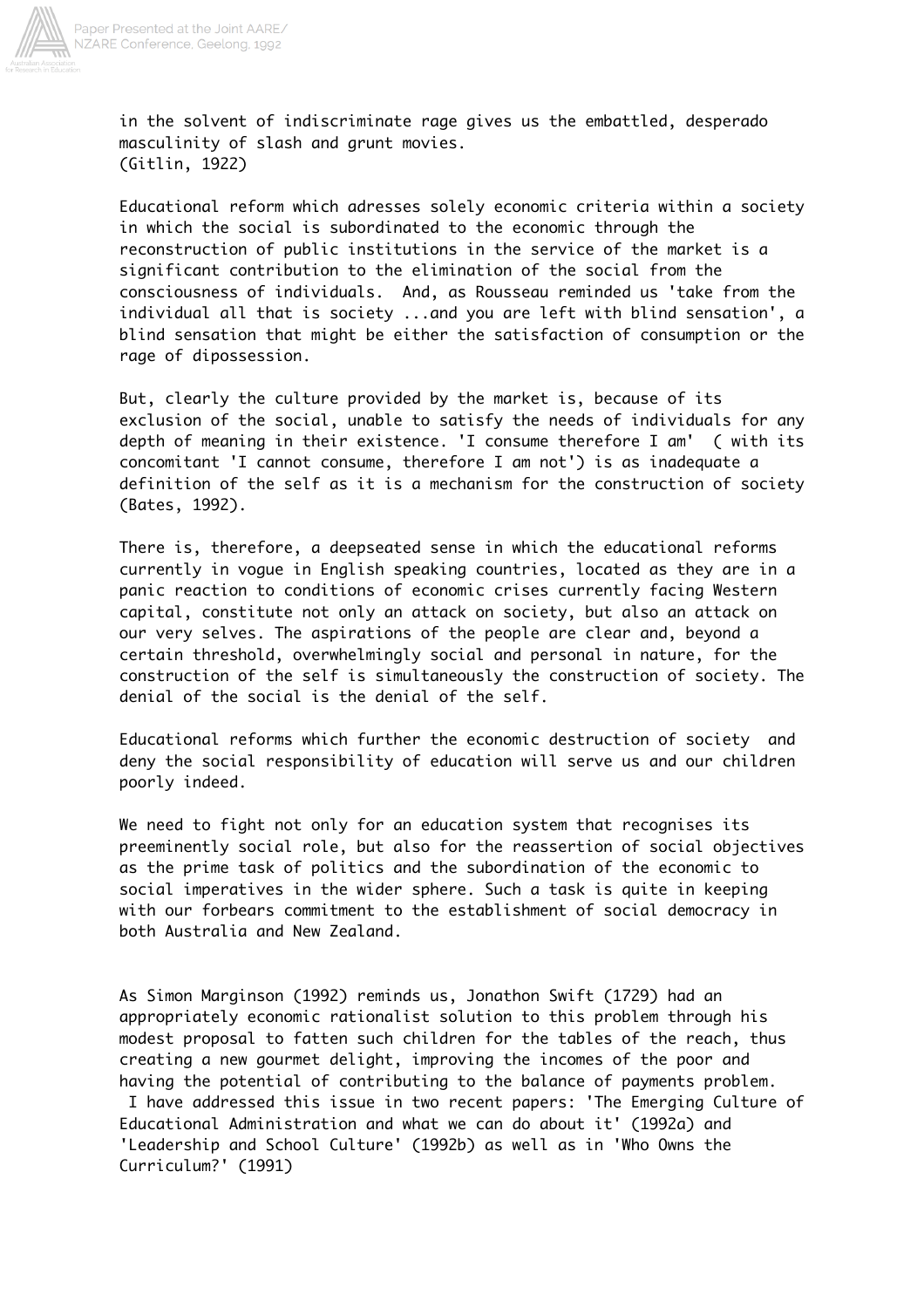

in the solvent of indiscriminate rage gives us the embattled, desperado masculinity of slash and grunt movies. (Gitlin, 1922)

Educational reform which adresses solely economic criteria within a society in which the social is subordinated to the economic through the reconstruction of public institutions in the service of the market is a significant contribution to the elimination of the social from the consciousness of individuals. And, as Rousseau reminded us 'take from the individual all that is society ...and you are left with blind sensation', a blind sensation that might be either the satisfaction of consumption or the rage of dipossession.

But, clearly the culture provided by the market is, because of its exclusion of the social, unable to satisfy the needs of individuals for any depth of meaning in their existence. 'I consume therefore I am' ( with its concomitant 'I cannot consume, therefore I am not') is as inadequate a definition of the self as it is a mechanism for the construction of society (Bates, 1992).

There is, therefore, a deepseated sense in which the educational reforms currently in vogue in English speaking countries, located as they are in a panic reaction to conditions of economic crises currently facing Western capital, constitute not only an attack on society, but also an attack on our very selves. The aspirations of the people are clear and, beyond a certain threshold, overwhelmingly social and personal in nature, for the construction of the self is simultaneously the construction of society. The denial of the social is the denial of the self.

Educational reforms which further the economic destruction of society and deny the social responsibility of education will serve us and our children poorly indeed.

We need to fight not only for an education system that recognises its preeminently social role, but also for the reassertion of social objectives as the prime task of politics and the subordination of the economic to social imperatives in the wider sphere. Such a task is quite in keeping with our forbears commitment to the establishment of social democracy in both Australia and New Zealand.

As Simon Marginson (1992) reminds us, Jonathon Swift (1729) had an appropriately economic rationalist solution to this problem through his modest proposal to fatten such children for the tables of the reach, thus creating a new gourmet delight, improving the incomes of the poor and having the potential of contributing to the balance of payments problem.

 I have addressed this issue in two recent papers: 'The Emerging Culture of Educational Administration and what we can do about it' (1992a) and 'Leadership and School Culture' (1992b) as well as in 'Who Owns the Curriculum?' (1991)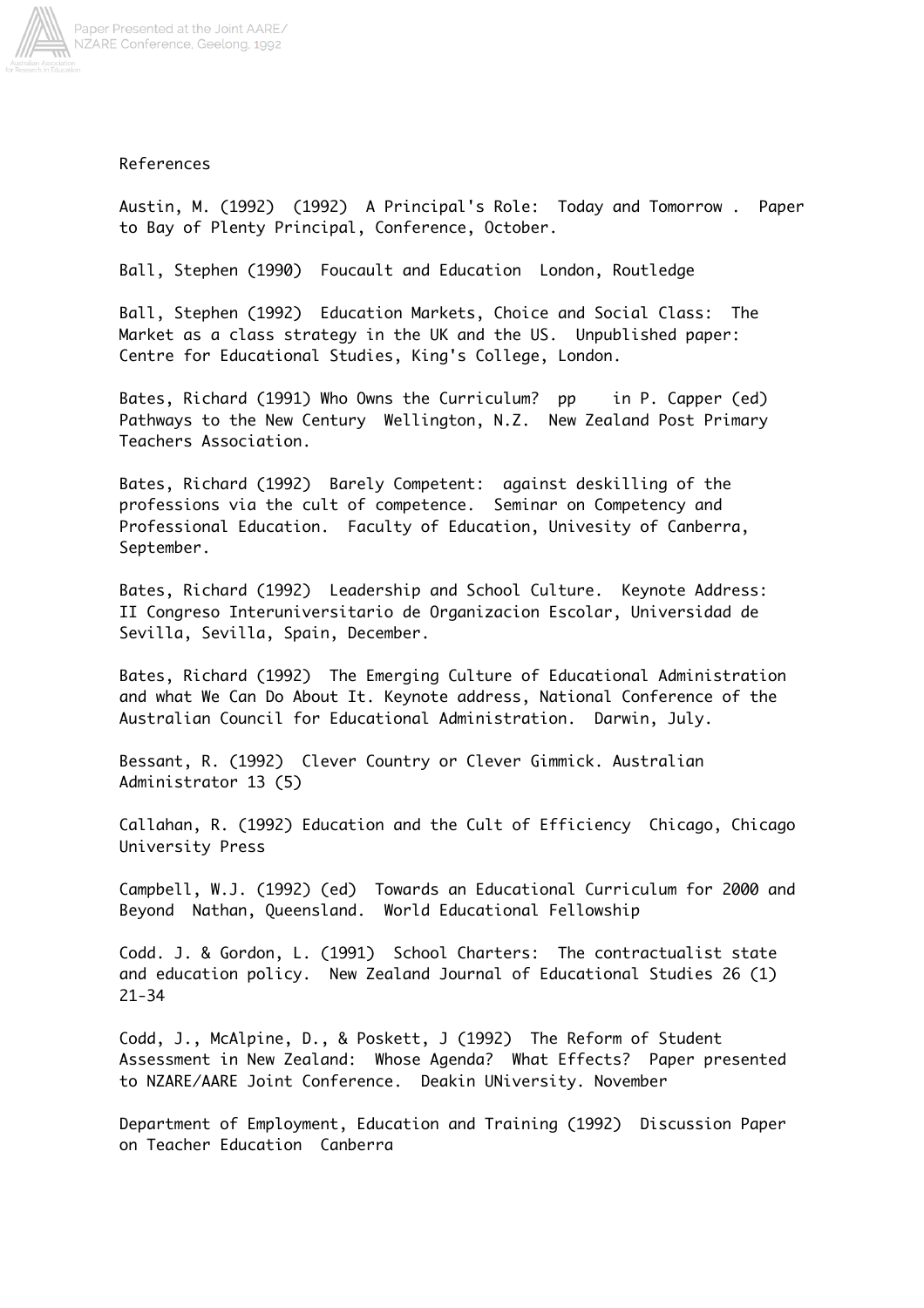

## References

Austin, M. (1992) (1992) A Principal's Role: Today and Tomorrow . Paper to Bay of Plenty Principal, Conference, October.

Ball, Stephen (1990) Foucault and Education London, Routledge

Ball, Stephen (1992) Education Markets, Choice and Social Class: The Market as a class strategy in the UK and the US. Unpublished paper: Centre for Educational Studies, King's College, London.

Bates, Richard (1991) Who Owns the Curriculum? pp in P. Capper (ed) Pathways to the New Century Wellington, N.Z. New Zealand Post Primary Teachers Association.

Bates, Richard (1992) Barely Competent: against deskilling of the professions via the cult of competence. Seminar on Competency and Professional Education. Faculty of Education, Univesity of Canberra, September.

Bates, Richard (1992) Leadership and School Culture. Keynote Address: II Congreso Interuniversitario de Organizacion Escolar, Universidad de Sevilla, Sevilla, Spain, December.

Bates, Richard (1992) The Emerging Culture of Educational Administration and what We Can Do About It. Keynote address, National Conference of the Australian Council for Educational Administration. Darwin, July.

Bessant, R. (1992) Clever Country or Clever Gimmick. Australian Administrator 13 (5)

Callahan, R. (1992) Education and the Cult of Efficiency Chicago, Chicago University Press

Campbell, W.J. (1992) (ed) Towards an Educational Curriculum for 2000 and Beyond Nathan, Queensland. World Educational Fellowship

Codd. J. & Gordon, L. (1991) School Charters: The contractualist state and education policy. New Zealand Journal of Educational Studies 26 (1) 21-34

Codd, J., McAlpine, D., & Poskett, J (1992) The Reform of Student Assessment in New Zealand: Whose Agenda? What Effects? Paper presented to NZARE/AARE Joint Conference. Deakin UNiversity. November

Department of Employment, Education and Training (1992) Discussion Paper on Teacher Education Canberra